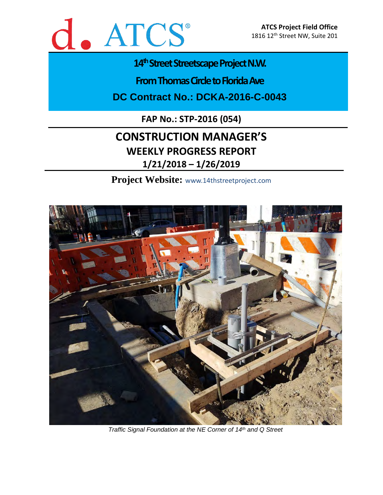

# 14<sup>th</sup> Street Streetscape Project N.W.

**From Thomas Circle to Florida Ave** 

**DC Contract No.: DCKA-2016-C-0043**

**FAP No.: STP-2016 (054)**

# **CONSTRUCTION MANAGER'S WEEKLY PROGRESS REPORT 1/21/2018 – 1/26/2019**

**Project Website:** www.14thstreetproject.com



*Traffic Signal Foundation at the NE Corner of 14th and Q Street*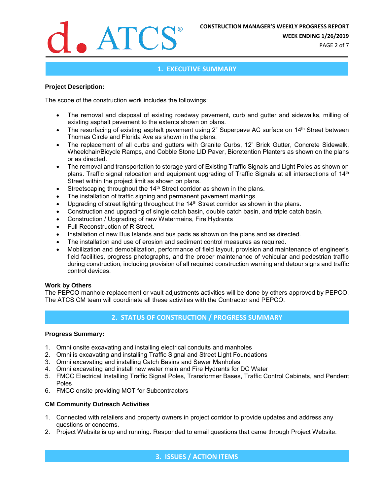

**WEEK ENDING 1/26/2019**

PAGE 2 of 7

# **1. EXECUTIVE SUMMARY**

### **Project Description:**

The scope of the construction work includes the followings:

- The removal and disposal of existing roadway pavement, curb and gutter and sidewalks, milling of existing asphalt pavement to the extents shown on plans.
- The resurfacing of existing asphalt pavement using 2" Superpave AC surface on 14<sup>th</sup> Street between Thomas Circle and Florida Ave as shown in the plans.
- The replacement of all curbs and gutters with Granite Curbs, 12" Brick Gutter, Concrete Sidewalk, Wheelchair/Bicycle Ramps, and Cobble Stone LID Paver, Bioretention Planters as shown on the plans or as directed.
- The removal and transportation to storage yard of Existing Traffic Signals and Light Poles as shown on plans. Traffic signal relocation and equipment upgrading of Traffic Signals at all intersections of 14<sup>th</sup> Street within the project limit as shown on plans.
- Streetscaping throughout the 14<sup>th</sup> Street corridor as shown in the plans.
- The installation of traffic signing and permanent pavement markings.
- Upgrading of street lighting throughout the 14<sup>th</sup> Street corridor as shown in the plans.
- Construction and upgrading of single catch basin, double catch basin, and triple catch basin.
- Construction / Upgrading of new Watermains, Fire Hydrants
- Full Reconstruction of R Street.
- Installation of new Bus Islands and bus pads as shown on the plans and as directed.
- The installation and use of erosion and sediment control measures as required.
- Mobilization and demobilization, performance of field layout, provision and maintenance of engineer's field facilities, progress photographs, and the proper maintenance of vehicular and pedestrian traffic during construction, including provision of all required construction warning and detour signs and traffic control devices.

### **Work by Others**

The PEPCO manhole replacement or vault adjustments activities will be done by others approved by PEPCO. The ATCS CM team will coordinate all these activities with the Contractor and PEPCO.

# **2. STATUS OF CONSTRUCTION / PROGRESS SUMMARY**

### **Progress Summary:**

- 1. Omni onsite excavating and installing electrical conduits and manholes
- 2. Omni is excavating and installing Traffic Signal and Street Light Foundations
- 3. Omni excavating and installing Catch Basins and Sewer Manholes
- 4. Omni excavating and install new water main and Fire Hydrants for DC Water
- 5. FMCC Electrical Installing Traffic Signal Poles, Transformer Bases, Traffic Control Cabinets, and Pendent Poles
- 6. FMCC onsite providing MOT for Subcontractors

## **CM Community Outreach Activities**

- 1. Connected with retailers and property owners in project corridor to provide updates and address any questions or concerns.
- 2. Project Website is up and running. Responded to email questions that came through Project Website.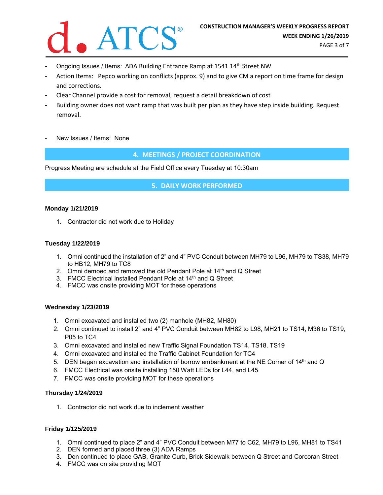

- Ongoing Issues / Items: ADA Building Entrance Ramp at 1541 14<sup>th</sup> Street NW
- Action Items: Pepco working on conflicts (approx. 9) and to give CM a report on time frame for design and corrections.
- Clear Channel provide a cost for removal, request a detail breakdown of cost
- Building owner does not want ramp that was built per plan as they have step inside building. Request removal.
- New Issues / Items: None

**4. MEETINGS / PROJECT COORDINATION**

Progress Meeting are schedule at the Field Office every Tuesday at 10:30am

**5. DAILY WORK PERFORMED**

#### **Monday 1/21/2019**

1. Contractor did not work due to Holiday

## **Tuesday 1/22/2019**

- 1. Omni continued the installation of 2" and 4" PVC Conduit between MH79 to L96, MH79 to TS38, MH79 to HB12, MH79 to TC8
- 2. Omni demoed and removed the old Pendant Pole at 14<sup>th</sup> and Q Street
- 3. FMCC Electrical installed Pendant Pole at 14<sup>th</sup> and Q Street
- 4. FMCC was onsite providing MOT for these operations

#### **Wednesday 1/23/2019**

- 1. Omni excavated and installed two (2) manhole (MH82, MH80)
- 2. Omni continued to install 2" and 4" PVC Conduit between MH82 to L98, MH21 to TS14, M36 to TS19, P05 to TC4
- 3. Omni excavated and installed new Traffic Signal Foundation TS14, TS18, TS19
- 4. Omni excavated and installed the Traffic Cabinet Foundation for TC4
- 5. DEN began excavation and installation of borrow embankment at the NE Corner of 14<sup>th</sup> and Q
- 6. FMCC Electrical was onsite installing 150 Watt LEDs for L44, and L45
- 7. FMCC was onsite providing MOT for these operations

#### **Thursday 1/24/2019**

1. Contractor did not work due to inclement weather

#### **Friday 1/125/2019**

- 1. Omni continued to place 2" and 4" PVC Conduit between M77 to C62, MH79 to L96, MH81 to TS41
- 2. DEN formed and placed three (3) ADA Ramps
- 3. Den continued to place GAB, Granite Curb, Brick Sidewalk between Q Street and Corcoran Street
- 4. FMCC was on site providing MOT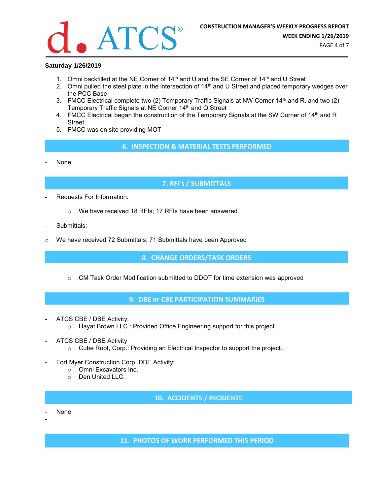

### **Saturday 1/26/2019**

- 1. Omni backfilled at the NE Corner of 14<sup>th</sup> and U and the SE Corner of 14<sup>th</sup> and U Street
- 2. Omni pulled the steel plate in the intersection of 14<sup>th</sup> and U Street and placed temporary wedges over the PCC Base
- 3. FMCC Electrical complete two (2) Temporary Traffic Signals at NW Corner 14<sup>th</sup> and R, and two (2) Temporary Traffic Signals at NE Corner 14<sup>th</sup> and Q Street
- 4. FMCC Electrical began the construction of the Temporary Signals at the SW Corner of 14th and R Street
- 5. FMCC was on site providing MOT
	- **6. INSPECTION & MATERIAL TESTS PERFORMED**
- None

# **7. RFI's / SUBMITTALS**

- Requests For Information:
	- o We have received 18 RFIs; 17 RFIs have been answered.
- Submittals:
- We have received 72 Submittals; 71 Submittals have been Approved

**8. CHANGE ORDERS/TASK ORDERS**

 $\circ$  CM Task Order Modification submitted to DDOT for time extension was approved

**9. DBE or CBE PARTICIPATION SUMMARIES**

- ATCS CBE / DBE Activity:
	- o Hayat Brown LLC.: Provided Office Engineering support for this project.
- ATCS CBE / DBE Activity
	- o Cube Root, Corp.: Providing an Electrical Inspector to support the project.
- Fort Myer Construction Corp. DBE Activity:
	- o Omni Excavators Inc.
	- o Den United LLC.

**10. ACCIDENTS / INCIDENTS**

None

-

**11. PHOTOS OF WORK PERFORMED THIS PERIOD**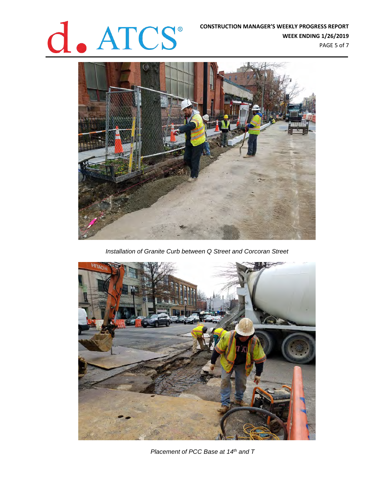# **CONSTRUCTION MANAGER'S WEEKLY PROGRESS REPORT<br>WEEK ENDING 1/26/2019**<br>PAGE 5 of 7

**WEEK ENDING 1/26/2019** PAGE 5 of 7



*Installation of Granite Curb between Q Street and Corcoran Street*



*Placement of PCC Base at 14th and T*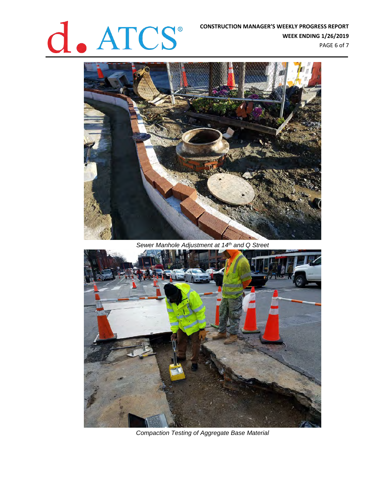# **CONSTRUCTION MANAGER'S WEEKLY PROGRESS REPORT<br>WEEK ENDING 1/26/2019**<br>PAGE 6 of 7

**WEEK ENDING 1/26/2019** PAGE 6 of 7



*Sewer Manhole Adjustment at 14th and Q Street*



*Compaction Testing of Aggregate Base Material*